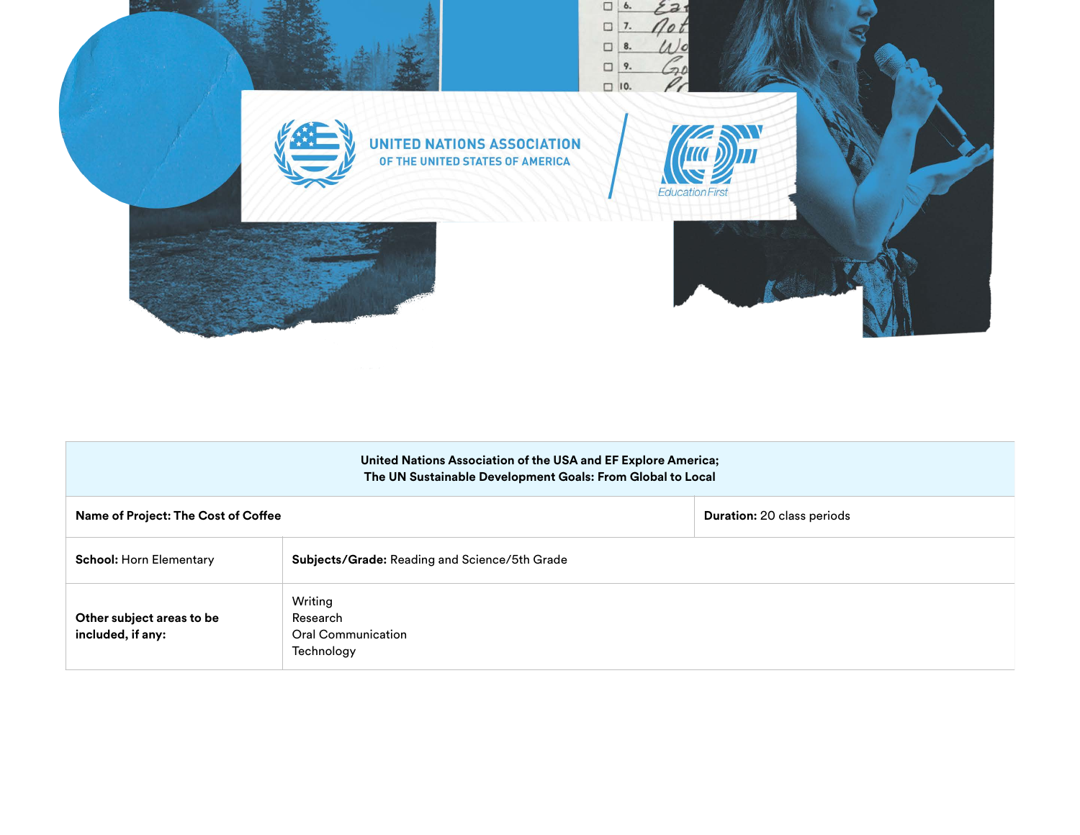

|                                                | United Nations Association of the USA and EF Explore America;<br>The UN Sustainable Development Goals: From Global to Local |                                   |
|------------------------------------------------|-----------------------------------------------------------------------------------------------------------------------------|-----------------------------------|
| Name of Project: The Cost of Coffee            |                                                                                                                             | <b>Duration: 20 class periods</b> |
| <b>School: Horn Elementary</b>                 | Subjects/Grade: Reading and Science/5th Grade                                                                               |                                   |
| Other subject areas to be<br>included, if any: | Writing<br>Research<br><b>Oral Communication</b><br>Technology                                                              |                                   |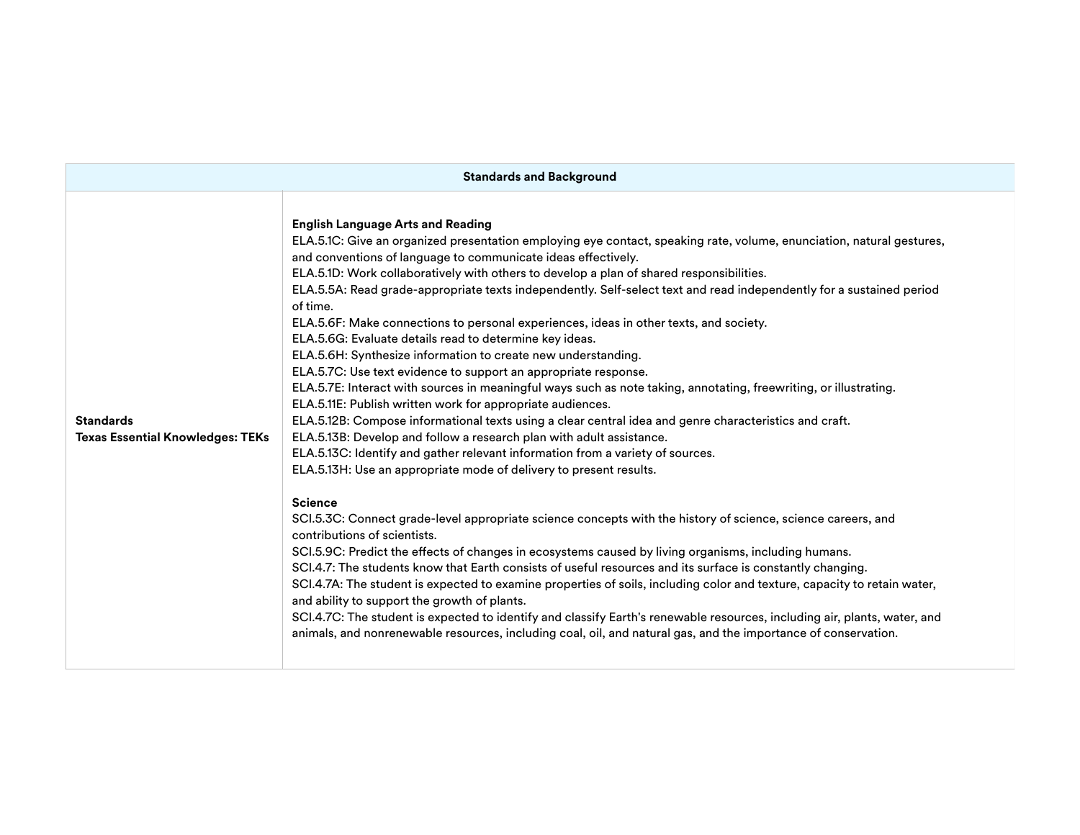| <b>Standards and Background</b>                             |                                                                                                                                                                                                                                                                                                                                                                                                                                                                                                                                                                                                                                                                                                                                                                                                                                                                                                                                                                                                                                                                                                                                                                                                                                                                                                                                                                                                                                                                                                                                                                                                                                                                                                                                                                                                                                                                                                                                                                                                                                                                                                             |  |  |  |
|-------------------------------------------------------------|-------------------------------------------------------------------------------------------------------------------------------------------------------------------------------------------------------------------------------------------------------------------------------------------------------------------------------------------------------------------------------------------------------------------------------------------------------------------------------------------------------------------------------------------------------------------------------------------------------------------------------------------------------------------------------------------------------------------------------------------------------------------------------------------------------------------------------------------------------------------------------------------------------------------------------------------------------------------------------------------------------------------------------------------------------------------------------------------------------------------------------------------------------------------------------------------------------------------------------------------------------------------------------------------------------------------------------------------------------------------------------------------------------------------------------------------------------------------------------------------------------------------------------------------------------------------------------------------------------------------------------------------------------------------------------------------------------------------------------------------------------------------------------------------------------------------------------------------------------------------------------------------------------------------------------------------------------------------------------------------------------------------------------------------------------------------------------------------------------------|--|--|--|
| <b>Standards</b><br><b>Texas Essential Knowledges: TEKs</b> | <b>English Language Arts and Reading</b><br>ELA.5.1C: Give an organized presentation employing eye contact, speaking rate, volume, enunciation, natural gestures,<br>and conventions of language to communicate ideas effectively.<br>ELA.5.1D: Work collaboratively with others to develop a plan of shared responsibilities.<br>ELA.5.5A: Read grade-appropriate texts independently. Self-select text and read independently for a sustained period<br>of time.<br>ELA.5.6F: Make connections to personal experiences, ideas in other texts, and society.<br>ELA.5.6G: Evaluate details read to determine key ideas.<br>ELA.5.6H: Synthesize information to create new understanding.<br>ELA.5.7C: Use text evidence to support an appropriate response.<br>ELA.5.7E: Interact with sources in meaningful ways such as note taking, annotating, freewriting, or illustrating.<br>ELA.5.11E: Publish written work for appropriate audiences.<br>ELA.5.12B: Compose informational texts using a clear central idea and genre characteristics and craft.<br>ELA.5.13B: Develop and follow a research plan with adult assistance.<br>ELA.5.13C: Identify and gather relevant information from a variety of sources.<br>ELA.5.13H: Use an appropriate mode of delivery to present results.<br><b>Science</b><br>SCI.5.3C: Connect grade-level appropriate science concepts with the history of science, science careers, and<br>contributions of scientists.<br>SCI.5.9C: Predict the effects of changes in ecosystems caused by living organisms, including humans.<br>SCI.4.7: The students know that Earth consists of useful resources and its surface is constantly changing.<br>SCI.4.7A: The student is expected to examine properties of soils, including color and texture, capacity to retain water,<br>and ability to support the growth of plants.<br>SCI.4.7C: The student is expected to identify and classify Earth's renewable resources, including air, plants, water, and<br>animals, and nonrenewable resources, including coal, oil, and natural gas, and the importance of conservation. |  |  |  |
|                                                             |                                                                                                                                                                                                                                                                                                                                                                                                                                                                                                                                                                                                                                                                                                                                                                                                                                                                                                                                                                                                                                                                                                                                                                                                                                                                                                                                                                                                                                                                                                                                                                                                                                                                                                                                                                                                                                                                                                                                                                                                                                                                                                             |  |  |  |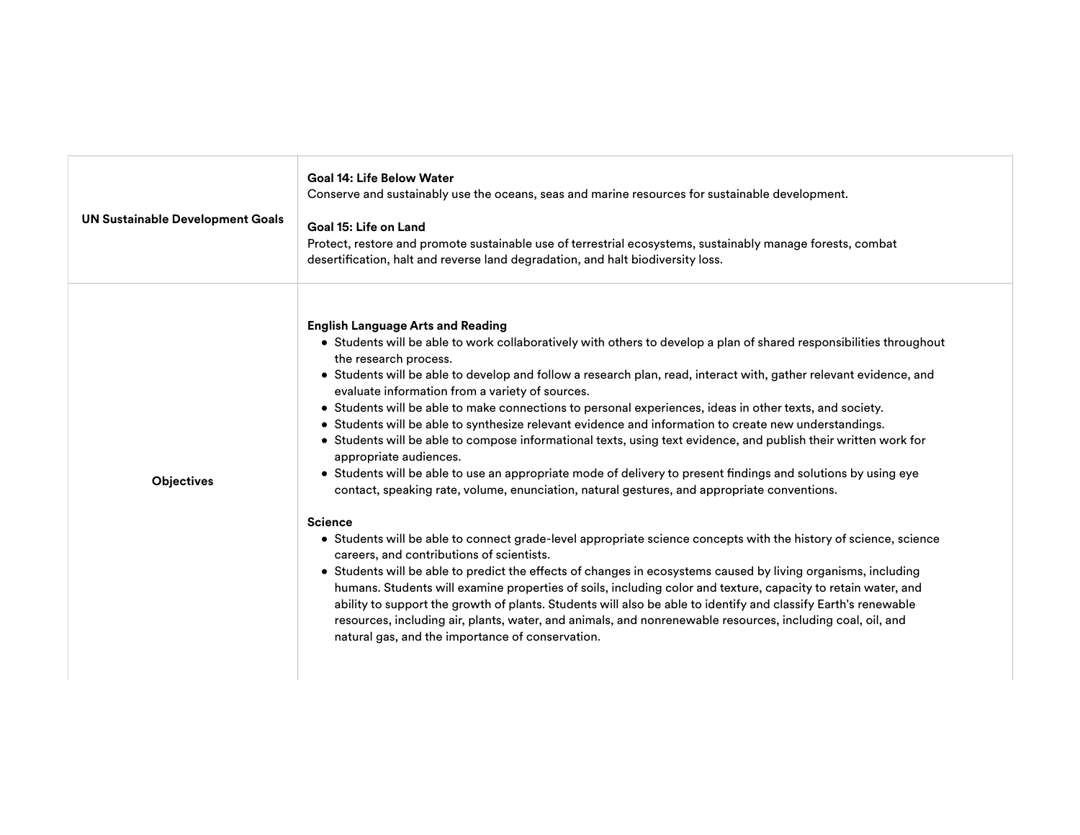| <b>UN Sustainable Development Goals</b> | Goal 14: Life Below Water<br>Conserve and sustainably use the oceans, seas and marine resources for sustainable development.<br>Goal 15: Life on Land<br>Protect, restore and promote sustainable use of terrestrial ecosystems, sustainably manage forests, combat<br>desertification, halt and reverse land degradation, and halt biodiversity loss.                                                                                                                                                                                                                                                                                                                                                                                                                                                                                                                                                                                                                                                                                                                                                                                                                                                                                                                                                                                                                                                                                                                                                                                                                                                                                                     |
|-----------------------------------------|------------------------------------------------------------------------------------------------------------------------------------------------------------------------------------------------------------------------------------------------------------------------------------------------------------------------------------------------------------------------------------------------------------------------------------------------------------------------------------------------------------------------------------------------------------------------------------------------------------------------------------------------------------------------------------------------------------------------------------------------------------------------------------------------------------------------------------------------------------------------------------------------------------------------------------------------------------------------------------------------------------------------------------------------------------------------------------------------------------------------------------------------------------------------------------------------------------------------------------------------------------------------------------------------------------------------------------------------------------------------------------------------------------------------------------------------------------------------------------------------------------------------------------------------------------------------------------------------------------------------------------------------------------|
| <b>Objectives</b>                       | <b>English Language Arts and Reading</b><br>• Students will be able to work collaboratively with others to develop a plan of shared responsibilities throughout<br>the research process.<br>• Students will be able to develop and follow a research plan, read, interact with, gather relevant evidence, and<br>evaluate information from a variety of sources.<br>• Students will be able to make connections to personal experiences, ideas in other texts, and society.<br>• Students will be able to synthesize relevant evidence and information to create new understandings.<br>• Students will be able to compose informational texts, using text evidence, and publish their written work for<br>appropriate audiences.<br>• Students will be able to use an appropriate mode of delivery to present findings and solutions by using eye<br>contact, speaking rate, volume, enunciation, natural gestures, and appropriate conventions.<br><b>Science</b><br>• Students will be able to connect grade-level appropriate science concepts with the history of science, science<br>careers, and contributions of scientists.<br>• Students will be able to predict the effects of changes in ecosystems caused by living organisms, including<br>humans. Students will examine properties of soils, including color and texture, capacity to retain water, and<br>ability to support the growth of plants. Students will also be able to identify and classify Earth's renewable<br>resources, including air, plants, water, and animals, and nonrenewable resources, including coal, oil, and<br>natural gas, and the importance of conservation. |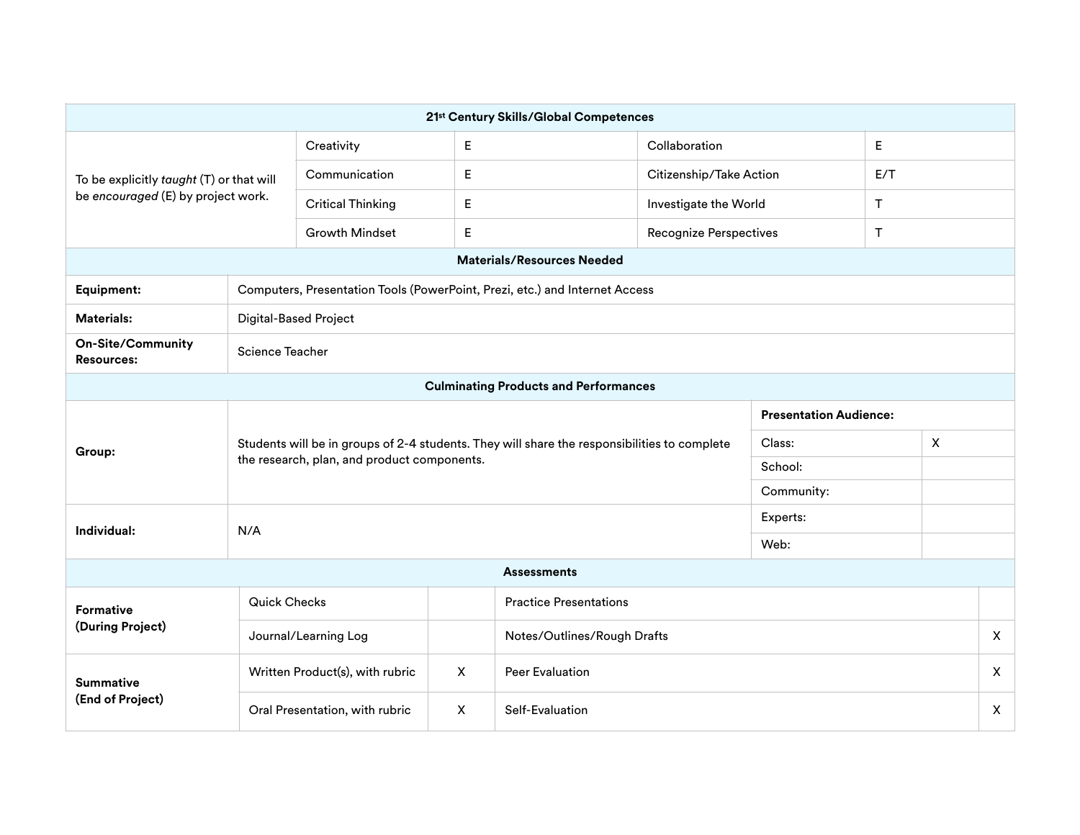|                                                                                |                                                                             |                                                                                                                                             |              | 21st Century Skills/Global Competences |                               |                               |              |     |              |
|--------------------------------------------------------------------------------|-----------------------------------------------------------------------------|---------------------------------------------------------------------------------------------------------------------------------------------|--------------|----------------------------------------|-------------------------------|-------------------------------|--------------|-----|--------------|
| To be explicitly taught (T) or that will<br>be encouraged (E) by project work. |                                                                             | Creativity                                                                                                                                  | E            |                                        | Collaboration                 |                               | E            |     |              |
|                                                                                |                                                                             | Communication                                                                                                                               | E            |                                        |                               | Citizenship/Take Action       |              | E/T |              |
|                                                                                |                                                                             | <b>Critical Thinking</b>                                                                                                                    | E            |                                        | Investigate the World         | Τ                             |              |     |              |
|                                                                                |                                                                             | <b>Growth Mindset</b>                                                                                                                       | E            |                                        | <b>Recognize Perspectives</b> |                               |              | T.  |              |
|                                                                                |                                                                             |                                                                                                                                             |              | <b>Materials/Resources Needed</b>      |                               |                               |              |     |              |
| <b>Equipment:</b>                                                              | Computers, Presentation Tools (PowerPoint, Prezi, etc.) and Internet Access |                                                                                                                                             |              |                                        |                               |                               |              |     |              |
| <b>Materials:</b>                                                              | <b>Digital-Based Project</b>                                                |                                                                                                                                             |              |                                        |                               |                               |              |     |              |
| <b>On-Site/Community</b><br>Science Teacher<br><b>Resources:</b>               |                                                                             |                                                                                                                                             |              |                                        |                               |                               |              |     |              |
| <b>Culminating Products and Performances</b>                                   |                                                                             |                                                                                                                                             |              |                                        |                               |                               |              |     |              |
|                                                                                |                                                                             | Students will be in groups of 2-4 students. They will share the responsibilities to complete<br>the research, plan, and product components. |              |                                        |                               | <b>Presentation Audience:</b> |              |     |              |
| Group:                                                                         |                                                                             |                                                                                                                                             |              |                                        | Class:                        |                               | $\mathsf{X}$ |     |              |
|                                                                                |                                                                             |                                                                                                                                             |              |                                        | School:                       |                               |              |     |              |
|                                                                                |                                                                             |                                                                                                                                             |              |                                        |                               | Community:                    |              |     |              |
| Individual:<br>N/A                                                             |                                                                             |                                                                                                                                             |              |                                        | Experts:                      |                               |              |     |              |
|                                                                                | Web:                                                                        |                                                                                                                                             |              |                                        |                               |                               |              |     |              |
|                                                                                |                                                                             |                                                                                                                                             |              | <b>Assessments</b>                     |                               |                               |              |     |              |
| <b>Formative</b>                                                               | <b>Quick Checks</b>                                                         |                                                                                                                                             |              | <b>Practice Presentations</b>          |                               |                               |              |     |              |
| (During Project)                                                               |                                                                             | Journal/Learning Log                                                                                                                        |              | Notes/Outlines/Rough Drafts            |                               |                               |              |     | $\mathsf{X}$ |
| <b>Summative</b><br>(End of Project)                                           |                                                                             | Written Product(s), with rubric                                                                                                             | $\mathsf{X}$ | <b>Peer Evaluation</b>                 |                               |                               |              |     | $\mathsf{X}$ |
|                                                                                |                                                                             | Oral Presentation, with rubric                                                                                                              | X            | Self-Evaluation                        |                               |                               |              |     | X            |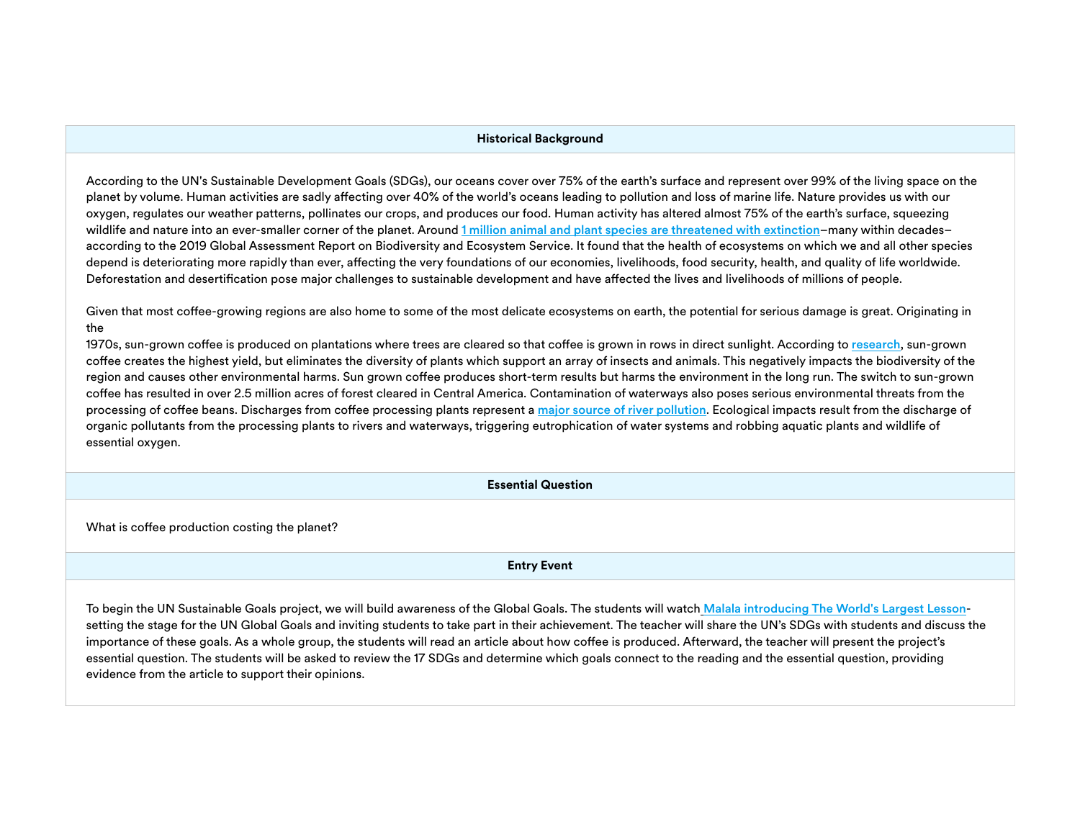## **Historical Background**

According to the UN's Sustainable Development Goals (SDGs), our oceans cover over 75% of the earth's surface and represent over 99% of the living space on the planet by volume. Human activities are sadly affecting over 40% of the world's oceans leading to pollution and loss of marine life. Nature provides us with our oxygen, regulates our weather patterns, pollinates our crops, and produces our food. Human activity has altered almost 75% of the earth's surface, squeezing wildlife and nature into an ever-smaller corner of the planet. Around [1 million animal and plant species are threatened with extinction](https://ipbes.net/sites/default/files/2020-02/ipbes_global_assessment_report_summary_for_policymakers_en.pdf)–many within decades– according to the 2019 Global Assessment Report on Biodiversity and Ecosystem Service. It found that the health of ecosystems on which we and all other species depend is deteriorating more rapidly than ever, affecting the very foundations of our economies, livelihoods, food security, health, and quality of life worldwide. Deforestation and desertification pose major challenges to sustainable development and have affected the lives and livelihoods of millions of people.

Given that most coffee-growing regions are also home to some of the most delicate ecosystems on earth, the potential for serious damage is great. Originating in the

1970s, sun-grown coffee is produced on plantations where trees are cleared so that coffee is grown in rows in direct sunlight. According to [research](https://www.researchgate.net/publication/319872243_Review_Utilization_of_Waste_From_Coffee_Production), sun-grown coffee creates the highest yield, but eliminates the diversity of plants which support an array of insects and animals. This negatively impacts the biodiversity of the region and causes other environmental harms. Sun grown coffee produces short-term results but harms the environment in the long run. The switch to sun-grown coffee has resulted in over 2.5 million acres of forest cleared in Central America. Contamination of waterways also poses serious environmental threats from the processing of coffee beans. Discharges from coffee processing plants represent a [major source of river pollution](https://link.springer.com/article/10.1007/s13201-019-1091-9). Ecological impacts result from the discharge of organic pollutants from the processing plants to rivers and waterways, triggering eutrophication of water systems and robbing aquatic plants and wildlife of essential oxygen.

**Essential Question**

What is coffee production costing the planet?

**Entry Event**

To begin the UN Sustainable Goals project, we will build awareness of the Global Goals. The students will watch [Malala introducing The World's Largest Lesson](https://vimeo.com/138852758)setting the stage for the UN Global Goals and inviting students to take part in their achievement. The teacher will share the UN's SDGs with students and discuss the importance of these goals. As a whole group, the students will read an article about how coffee is produced. Afterward, the teacher will present the project's essential question. The students will be asked to review the 17 SDGs and determine which goals connect to the reading and the essential question, providing evidence from the article to support their opinions.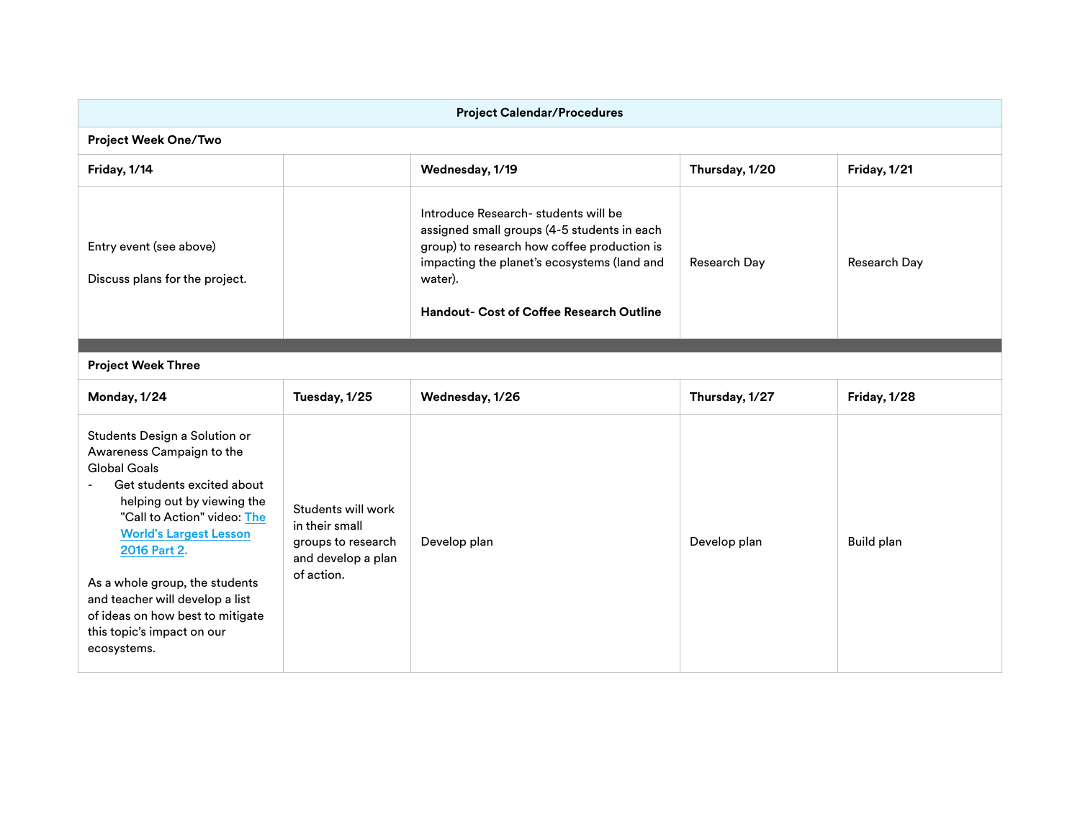| <b>Project Calendar/Procedures</b>                                                                                                                                                                                                                                                                                                                                                  |                                                                                                |                                                                                                                                                                                                                                                 |                |              |  |
|-------------------------------------------------------------------------------------------------------------------------------------------------------------------------------------------------------------------------------------------------------------------------------------------------------------------------------------------------------------------------------------|------------------------------------------------------------------------------------------------|-------------------------------------------------------------------------------------------------------------------------------------------------------------------------------------------------------------------------------------------------|----------------|--------------|--|
| <b>Project Week One/Two</b>                                                                                                                                                                                                                                                                                                                                                         |                                                                                                |                                                                                                                                                                                                                                                 |                |              |  |
| Friday, 1/14                                                                                                                                                                                                                                                                                                                                                                        |                                                                                                | Wednesday, 1/19                                                                                                                                                                                                                                 | Thursday, 1/20 | Friday, 1/21 |  |
| Entry event (see above)<br>Discuss plans for the project.                                                                                                                                                                                                                                                                                                                           |                                                                                                | Introduce Research- students will be<br>assigned small groups (4-5 students in each<br>group) to research how coffee production is<br>impacting the planet's ecosystems (land and<br>water).<br><b>Handout- Cost of Coffee Research Outline</b> | Research Day   | Research Day |  |
| <b>Project Week Three</b>                                                                                                                                                                                                                                                                                                                                                           |                                                                                                |                                                                                                                                                                                                                                                 |                |              |  |
| Monday, 1/24                                                                                                                                                                                                                                                                                                                                                                        | Tuesday, 1/25                                                                                  | Wednesday, 1/26                                                                                                                                                                                                                                 | Thursday, 1/27 | Friday, 1/28 |  |
| Students Design a Solution or<br>Awareness Campaign to the<br><b>Global Goals</b><br>Get students excited about<br>helping out by viewing the<br>"Call to Action" video: The<br><b>World's Largest Lesson</b><br>2016 Part 2.<br>As a whole group, the students<br>and teacher will develop a list<br>of ideas on how best to mitigate<br>this topic's impact on our<br>ecosystems. | Students will work<br>in their small<br>groups to research<br>and develop a plan<br>of action. | Develop plan                                                                                                                                                                                                                                    | Develop plan   | Build plan   |  |